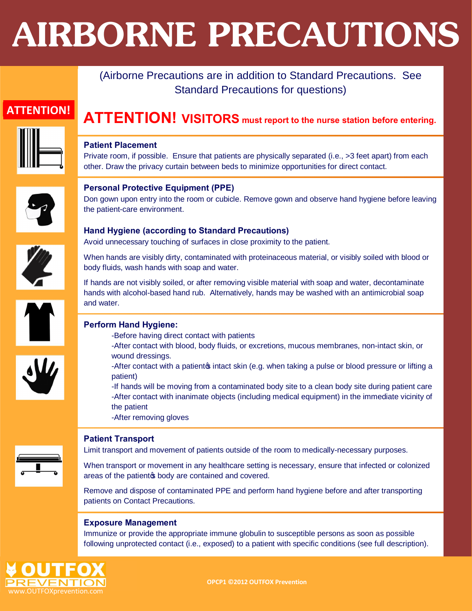# **AIRBORNE PRECAUTIONS**

(Airborne Precautions are in addition to Standard Precautions. See Standard Precautions for questions)

# **ATTENTION!**

# **ATTENTION! VISITORS must report to the nurse station before entering.**



## **Patient Placement**

Private room, if possible. Ensure that patients are physically separated (i.e., >3 feet apart) from each other. Draw the privacy curtain between beds to minimize opportunities for direct contact.



# **Personal Protective Equipment (PPE)**

Don gown upon entry into the room or cubicle. Remove gown and observe hand hygiene before leaving the patient-care environment.



# **Hand Hygiene (according to Standard Precautions)**

Avoid unnecessary touching of surfaces in close proximity to the patient.

When hands are visibly dirty, contaminated with proteinaceous material, or visibly soiled with blood or body fluids, wash hands with soap and water.

If hands are not visibly soiled, or after removing visible material with soap and water, decontaminate hands with alcohol-based hand rub. Alternatively, hands may be washed with an antimicrobial soap and water.



# **Perform Hand Hygiene:**

- -Before having direct contact with patients
- -After contact with blood, body fluids, or excretions, mucous membranes, non-intact skin, or wound dressings.
- -After contact with a patient intact skin (e.g. when taking a pulse or blood pressure or lifting a patient)

-If hands will be moving from a contaminated body site to a clean body site during patient care -After contact with inanimate objects (including medical equipment) in the immediate vicinity of the patient

-After removing gloves



## **Patient Transport**

Limit transport and movement of patients outside of the room to medically-necessary purposes.

When transport or movement in any healthcare setting is necessary, ensure that infected or colonized areas of the patient t body are contained and covered.

Remove and dispose of contaminated PPE and perform hand hygiene before and after transporting patients on Contact Precautions.

## **Exposure Management**

Immunize or provide the appropriate immune globulin to susceptible persons as soon as possible following unprotected contact (i.e., exposed) to a patient with specific conditions (see full description).